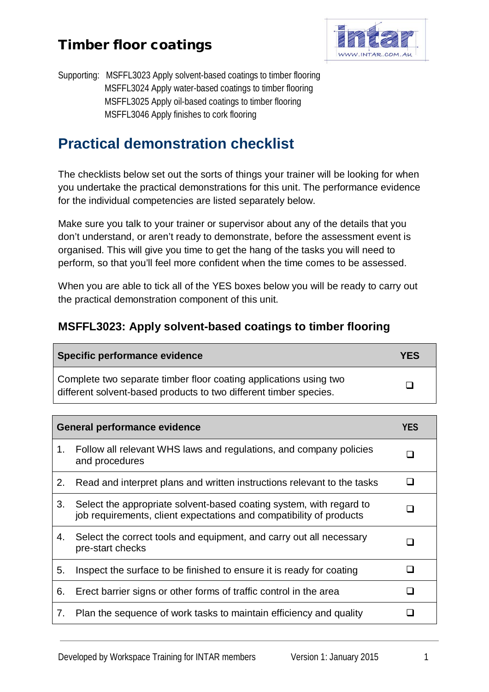

Supporting: MSFFL3023 Apply solvent-based coatings to timber flooring MSFFL3024 Apply water-based coatings to timber flooring MSFFL3025 Apply oil-based coatings to timber flooring MSFFL3046 Apply finishes to cork flooring

## **Practical demonstration checklist**

The checklists below set out the sorts of things your trainer will be looking for when you undertake the practical demonstrations for this unit. The performance evidence for the individual competencies are listed separately below.

Make sure you talk to your trainer or supervisor about any of the details that you don't understand, or aren't ready to demonstrate, before the assessment event is organised. This will give you time to get the hang of the tasks you will need to perform, so that you'll feel more confident when the time comes to be assessed.

When you are able to tick all of the YES boxes below you will be ready to carry out the practical demonstration component of this unit.

#### **MSFFL3023: Apply solvent-based coatings to timber flooring**

| Specific performance evidence                                                                                                          | <b>YES</b> |
|----------------------------------------------------------------------------------------------------------------------------------------|------------|
| Complete two separate timber floor coating applications using two<br>different solvent-based products to two different timber species. | Ш          |

| General performance evidence |                                                                                                                                            | <b>YES</b>   |
|------------------------------|--------------------------------------------------------------------------------------------------------------------------------------------|--------------|
| 1.                           | Follow all relevant WHS laws and regulations, and company policies<br>and procedures                                                       | $\mathsf{L}$ |
| 2.                           | Read and interpret plans and written instructions relevant to the tasks                                                                    | l 1          |
| 3.                           | Select the appropriate solvent-based coating system, with regard to<br>job requirements, client expectations and compatibility of products |              |
| 4.                           | Select the correct tools and equipment, and carry out all necessary<br>pre-start checks                                                    |              |
| 5.                           | Inspect the surface to be finished to ensure it is ready for coating                                                                       |              |
| 6.                           | Erect barrier signs or other forms of traffic control in the area                                                                          |              |
| 7.                           | Plan the sequence of work tasks to maintain efficiency and quality                                                                         |              |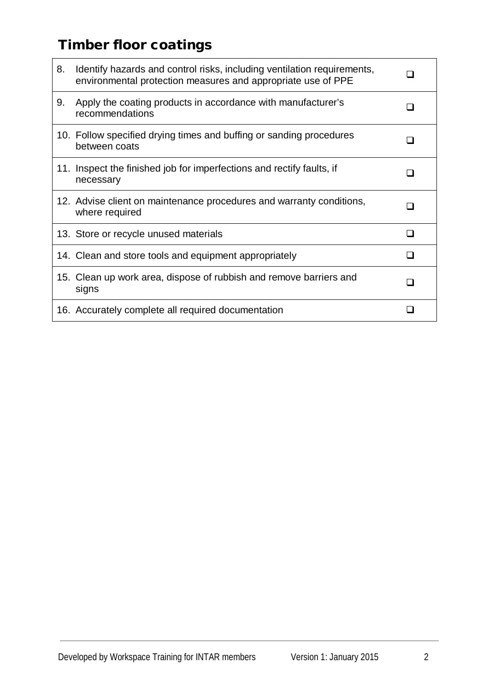| 8.  | Identify hazards and control risks, including ventilation requirements,<br>environmental protection measures and appropriate use of PPE |     |
|-----|-----------------------------------------------------------------------------------------------------------------------------------------|-----|
| 9.  | Apply the coating products in accordance with manufacturer's<br>recommendations                                                         |     |
|     | 10. Follow specified drying times and buffing or sanding procedures<br>between coats                                                    |     |
| 11. | Inspect the finished job for imperfections and rectify faults, if<br>necessary                                                          |     |
|     | 12. Advise client on maintenance procedures and warranty conditions,<br>where required                                                  | ı   |
|     | 13. Store or recycle unused materials                                                                                                   | □   |
|     | 14. Clean and store tools and equipment appropriately                                                                                   | l 1 |
|     | 15. Clean up work area, dispose of rubbish and remove barriers and<br>signs                                                             | □   |
|     | 16. Accurately complete all required documentation                                                                                      |     |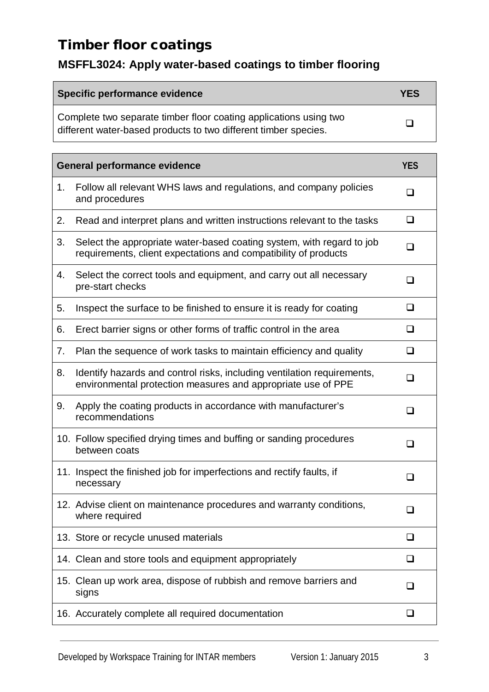### **MSFFL3024: Apply water-based coatings to timber flooring**

| Specific performance evidence                                                                                                        | <b>YES</b> |
|--------------------------------------------------------------------------------------------------------------------------------------|------------|
| Complete two separate timber floor coating applications using two<br>different water-based products to two different timber species. |            |

|    | <b>General performance evidence</b>                                                                                                      | <b>YES</b> |
|----|------------------------------------------------------------------------------------------------------------------------------------------|------------|
| 1. | Follow all relevant WHS laws and regulations, and company policies<br>and procedures                                                     | ப          |
| 2. | Read and interpret plans and written instructions relevant to the tasks                                                                  | ❏          |
| 3. | Select the appropriate water-based coating system, with regard to job<br>requirements, client expectations and compatibility of products | ❏          |
| 4. | Select the correct tools and equipment, and carry out all necessary<br>pre-start checks                                                  | ◻          |
| 5. | Inspect the surface to be finished to ensure it is ready for coating                                                                     | ❏          |
| 6. | Erect barrier signs or other forms of traffic control in the area                                                                        | ❏          |
| 7. | Plan the sequence of work tasks to maintain efficiency and quality                                                                       | $\Box$     |
| 8. | Identify hazards and control risks, including ventilation requirements,<br>environmental protection measures and appropriate use of PPE  | $\Box$     |
| 9. | Apply the coating products in accordance with manufacturer's<br>recommendations                                                          | ❏          |
|    | 10. Follow specified drying times and buffing or sanding procedures<br>between coats                                                     | ப          |
|    | 11. Inspect the finished job for imperfections and rectify faults, if<br>necessary                                                       | ❏          |
|    | 12. Advise client on maintenance procedures and warranty conditions,<br>where required                                                   | $\Box$     |
|    | 13. Store or recycle unused materials                                                                                                    | - 1        |
|    | 14. Clean and store tools and equipment appropriately                                                                                    | ❏          |
|    | 15. Clean up work area, dispose of rubbish and remove barriers and<br>signs                                                              | ப          |
|    | 16. Accurately complete all required documentation                                                                                       | ❏          |

٦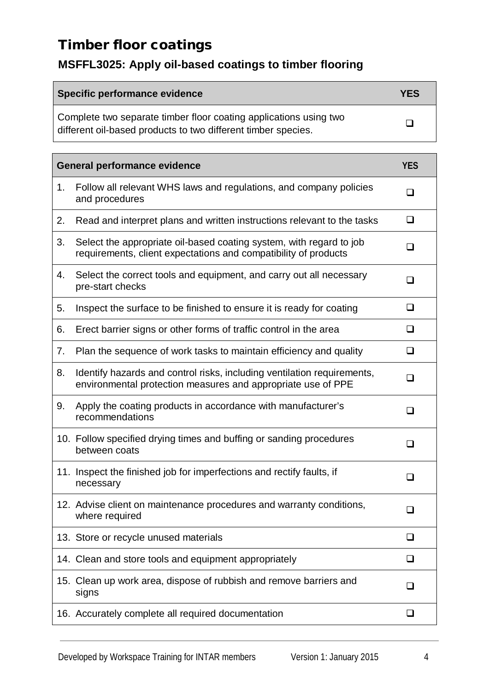## **MSFFL3025: Apply oil-based coatings to timber flooring**

| Specific performance evidence                                                                                                      | <b>YES</b> |
|------------------------------------------------------------------------------------------------------------------------------------|------------|
| Complete two separate timber floor coating applications using two<br>different oil-based products to two different timber species. |            |

|    | <b>General performance evidence</b>                                                                                                     | <b>YES</b> |
|----|-----------------------------------------------------------------------------------------------------------------------------------------|------------|
| 1. | Follow all relevant WHS laws and regulations, and company policies<br>and procedures                                                    | ◻          |
| 2. | Read and interpret plans and written instructions relevant to the tasks                                                                 | ◻          |
| 3. | Select the appropriate oil-based coating system, with regard to job<br>requirements, client expectations and compatibility of products  | ◻          |
| 4. | Select the correct tools and equipment, and carry out all necessary<br>pre-start checks                                                 | ❏          |
| 5. | Inspect the surface to be finished to ensure it is ready for coating                                                                    | $\Box$     |
| 6. | Erect barrier signs or other forms of traffic control in the area                                                                       | ❏          |
| 7. | Plan the sequence of work tasks to maintain efficiency and quality                                                                      | $\Box$     |
| 8. | Identify hazards and control risks, including ventilation requirements,<br>environmental protection measures and appropriate use of PPE | ◻          |
| 9. | Apply the coating products in accordance with manufacturer's<br>recommendations                                                         | n          |
|    | 10. Follow specified drying times and buffing or sanding procedures<br>between coats                                                    | ◻          |
|    | 11. Inspect the finished job for imperfections and rectify faults, if<br>necessary                                                      | ப          |
|    | 12. Advise client on maintenance procedures and warranty conditions,<br>where required                                                  |            |
|    | 13. Store or recycle unused materials                                                                                                   |            |
|    | 14. Clean and store tools and equipment appropriately                                                                                   | ப          |
|    | 15. Clean up work area, dispose of rubbish and remove barriers and<br>signs                                                             | ப          |
|    | 16. Accurately complete all required documentation                                                                                      | □          |